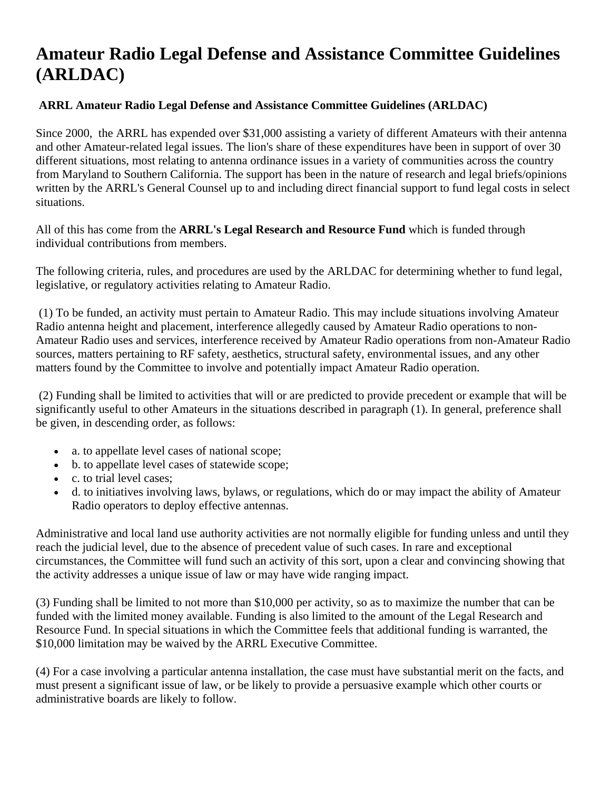## **Amateur Radio Legal Defense and Assistance Committee Guidelines (ARLDAC)**

## **ARRL Amateur Radio Legal Defense and Assistance Committee Guidelines (ARLDAC)**

Since 2000, the ARRL has expended over \$31,000 assisting a variety of different Amateurs with their antenna and other Amateur-related legal issues. The lion's share of these expenditures have been in support of over 30 different situations, most relating to antenna ordinance issues in a variety of communities across the country from Maryland to Southern California. The support has been in the nature of research and legal briefs/opinions written by the ARRL's General Counsel up to and including direct financial support to fund legal costs in select situations.

All of this has come from the **ARRL's Legal Research and Resource Fund** which is funded through individual contributions from members.

The following criteria, rules, and procedures are used by the ARLDAC for determining whether to fund legal, legislative, or regulatory activities relating to Amateur Radio.

 (1) To be funded, an activity must pertain to Amateur Radio. This may include situations involving Amateur Radio antenna height and placement, interference allegedly caused by Amateur Radio operations to non-Amateur Radio uses and services, interference received by Amateur Radio operations from non-Amateur Radio sources, matters pertaining to RF safety, aesthetics, structural safety, environmental issues, and any other matters found by the Committee to involve and potentially impact Amateur Radio operation.

 (2) Funding shall be limited to activities that will or are predicted to provide precedent or example that will be significantly useful to other Amateurs in the situations described in paragraph (1). In general, preference shall be given, in descending order, as follows:

- a. to appellate level cases of national scope;
- b. to appellate level cases of statewide scope;
- c. to trial level cases;
- d. to initiatives involving laws, bylaws, or regulations, which do or may impact the ability of Amateur Radio operators to deploy effective antennas.

Administrative and local land use authority activities are not normally eligible for funding unless and until they reach the judicial level, due to the absence of precedent value of such cases. In rare and exceptional circumstances, the Committee will fund such an activity of this sort, upon a clear and convincing showing that the activity addresses a unique issue of law or may have wide ranging impact.

(3) Funding shall be limited to not more than \$10,000 per activity, so as to maximize the number that can be funded with the limited money available. Funding is also limited to the amount of the Legal Research and Resource Fund. In special situations in which the Committee feels that additional funding is warranted, the \$10,000 limitation may be waived by the ARRL Executive Committee.

(4) For a case involving a particular antenna installation, the case must have substantial merit on the facts, and must present a significant issue of law, or be likely to provide a persuasive example which other courts or administrative boards are likely to follow.